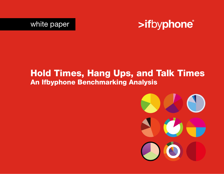



# Hold Times, Hang Ups, and Talk Times An Ifbyphone Benchmarking Analysis

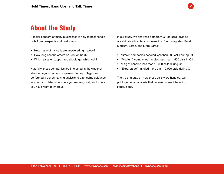

## About the Study

A major concern of many businesses is how to best handle calls from prospects and customers:

- How many of my calls are answered right away?
- How long can the others be kept on hold?
- Which sales or support rep should get which call?

Naturally, these companies are interested in the way they stack up against other companies. To help, Ifbyphone performed a benchmarking analysis to offer some guidance as you try to determine where you're doing well, and where you have room to improve.

In our study, we analyzed data from Q1 of 2013, dividing our virtual call center customers into four categories: Small, Medium, Large, and Extra-Large:

- • "Small" companies handled less than 500 calls during Q1
- • "Medium" companies handled less than 1,500 calls in Q1
- • "Large" handled less than 10,000 calls during Q1
- • "Extra-Large" handled more than 10,000 calls during Q1

Then, using data on how those calls were handled, we put together an analysis that revealed some interesting conclusions.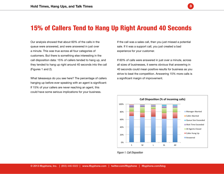### 15% of Callers Tend to Hang Up Right Around 40 Seconds

Our analysis showed that about 60% of the calls in the<br>queue were answered, and were answered in just over customers. But there is something else interesting in the<br>call disposition data: 15% of callers tended to hang up, and they tended to hang up right around 40 seconds into the call<br>(Figures 1 and 2). queue were answered, and were answered in just over a minute. This was true across all four categories of customers. But there is something else interesting in the (Figures 1 and 2).

What takeaways do you see here? The per<br>hanging up before ever speaking with an ag<br>If 15% of your sellors are revering abing an could have some serious implications for your business.<br>
<sub>could</sub> have some serious implications for your business. What takeaways do you see here? The percentage of callers hanging up before ever speaking with an agent is significant: If 15% of your callers are never reaching an agent, this

If the call was a sales call, then you just missed a potential<br>sale. If it was a support call, you just created a bad sale. If it was a support call, you just created a bad experience for your customer.

3

.<br>If 60% of calls were answered in just over a minute, across an sizes or businesses, it seems obvious that answe<br>40 seconds could mean positive results for busines:<br>strive to beat the competition. Answering 15% more a significant margin of improvement.<br> **Allergies areas descriptives** all sizes of businesses, it seems obvious that answering in 40 seconds could mean positive results for business as you strive to beat the competition. Answering 15% more calls is



*Figure 1: Call Disposition*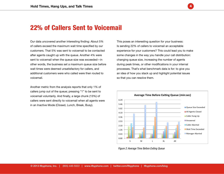

Our data uncovered another interesting finding: About 5% of callers exceed the maximum wait time specified by our customers. That 5% was sent to voicemail to be contacted after agents caught up with the queue. Another 4% were sent to voicemail when the queue size was exceeded—in other words, the business set a maximum queue size before wait times were deemed unsatisfactory for callers, and additional customers were who called were then routed to voicemail.

Another metric from the analysis reports that only 1% of callers jump out of the queue; pressing "1" to be sent to voicemail voluntarily. And finally, a large chunk (13%) of callers were sent directly to voicemail when all agents were in an Inactive Mode (Closed, Lunch, Break, Busy).

This poses an interesting question for your business: Is sending 22% of callers to voicemail an acceptable experience for your customers? This could lead you to make some changes in the way you handle your call distribution: changing queue size, increasing the number of agents during peak times, or other modifications in your internal processes. That's what benchmark data is for: to give you an idea of how you stack up and highlight potential issues so that you can resolve them.

4



*Figure 2: Average Time Before Exiting Queue*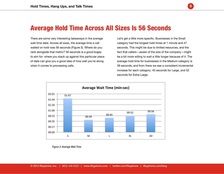

There are some very interesting takeaways in the average wait time data. Across all sizes, the average time a call waited on hold was 56 seconds (Figure 3). Where do you rank alongside that metric? 56 seconds is a good bogey to aim for: where you stack up against this particular piece of data can give you a good idea of how well you're doing when it comes to processing calls.

Let's get a little more specific. Businesses in the Small category had the longest hold times at 1 minute and 47 seconds. This might be due to limited resources, and the fact that callers—aware of the size of the company—might be a bit more willing to wait a little longer because of it. The average hold time for businesses in the Medium category is 39 seconds, and from there we see a consistent incremental increase for each category: 45 seconds for Large, and 52 seconds for Extra-Large.

5



*Figure 3: Average Wait Time*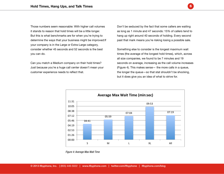Those numbers seem reasonable: With higher call volumes it stands to reason that hold times will be a little longer. But this is what benchmarks are for when you're trying to determine the ways that your business might be improved:If your company is in the Large or Extra-Large category, consider whether 45 seconds and 52 seconds is the best you can do.

Can you match a Medium company on their hold times? Just because you're a huge call center doesn't mean your customer experience needs to reflect that.

Don't be seduced by the fact that some callers are waiting as long as 1 minute and 47 seconds: 15% of callers tend to hang up right around 40 seconds of holding. Every second past that mark means you're risking losing a possible sale.

Something else to consider is the longest maximum wait times (the average of the longest hold times), which, across all size companies, we found to be 7 minutes and 19 seconds on average, increasing as the call volume increases (Figure 4). This makes sense— the more calls in a queue, the longer the queue—so that stat shouldn't be shocking, but it does give you an idea of what to strive for.



*Figure 4: Average Max Wait Time*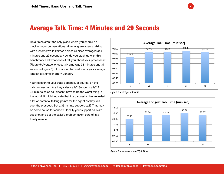#### Average Talk Time: 4 Minutes and 29 Seconds

Hold times aren't the only place where you should be clocking your conversations. How long are agents talking with customers? Talk times across all sizes averaged at 4 minutes and 29 seconds: How do you stack up with this benchmark and what does it tell you about your processes? (Figure 5) Average longest talk time was 33 minutes and 37 seconds (Figure 6). How about that metric—is your average longest talk time shorter? Longer?

Your reaction to your stats depends, of course, on the calls in question. Are they sales calls? Support calls? A 33-minute sales call doesn't have to be the worst thing in the world: It might indicate that the discussion has revealed a lot of potential talking points for the agent as they win over the prospect. But a 33-minute support call? That may be some cause for concern. Ideally your support calls are succinct and get the caller's problem taken care of in a timely manner.



7

*Figure 5: Average Talk Time*



*Figure 6: Average Longest Talk Time*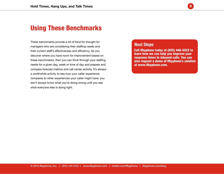

These benchmarks provide a lot of food for thought for managers who are considering their staffing needs and their current staff's effectiveness and efficiency. As you discover where you have room for improvement based on these benchmarks, then you can think through your staffing needs for a given day, week or time of day and prepare and compare forecast metrics and call center activity. It's always a worthwhile activity to see how your caller experience compares to other experiences your caller might have: you don't always know what you're doing wrong until you see what everyone else is doing right.

#### Next Steps

Call Ifbyphone today at (855) 446-5022 to learn how we can help you improve your response times to inbound calls. You can also request a demo of Ifbyphone's solution at www.ifbyphone.com.

8